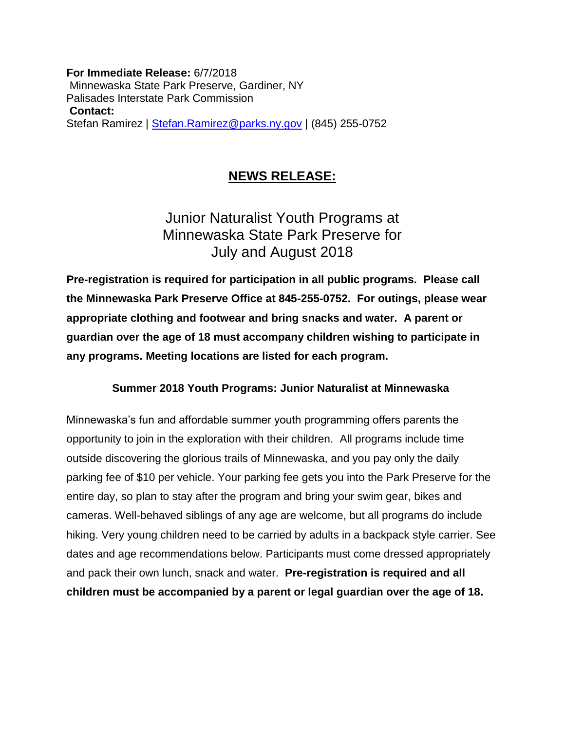**For Immediate Release:** 6/7/2018 Minnewaska State Park Preserve, Gardiner, NY Palisades Interstate Park Commission **Contact:**  Stefan Ramirez | [Stefan.Ramirez@parks.ny.gov](mailto:Stefan.Ramirez@parks.ny.gov) | (845) 255-0752

## **NEWS RELEASE:**

Junior Naturalist Youth Programs at Minnewaska State Park Preserve for July and August 2018

**Pre-registration is required for participation in all public programs. Please call the Minnewaska Park Preserve Office at 845-255-0752. For outings, please wear appropriate clothing and footwear and bring snacks and water. A parent or guardian over the age of 18 must accompany children wishing to participate in any programs. Meeting locations are listed for each program.**

### **Summer 2018 Youth Programs: Junior Naturalist at Minnewaska**

Minnewaska's fun and affordable summer youth programming offers parents the opportunity to join in the exploration with their children. All programs include time outside discovering the glorious trails of Minnewaska, and you pay only the daily parking fee of \$10 per vehicle. Your parking fee gets you into the Park Preserve for the entire day, so plan to stay after the program and bring your swim gear, bikes and cameras. Well-behaved siblings of any age are welcome, but all programs do include hiking. Very young children need to be carried by adults in a backpack style carrier. See dates and age recommendations below. Participants must come dressed appropriately and pack their own lunch, snack and water. **Pre-registration is required and all children must be accompanied by a parent or legal guardian over the age of 18.**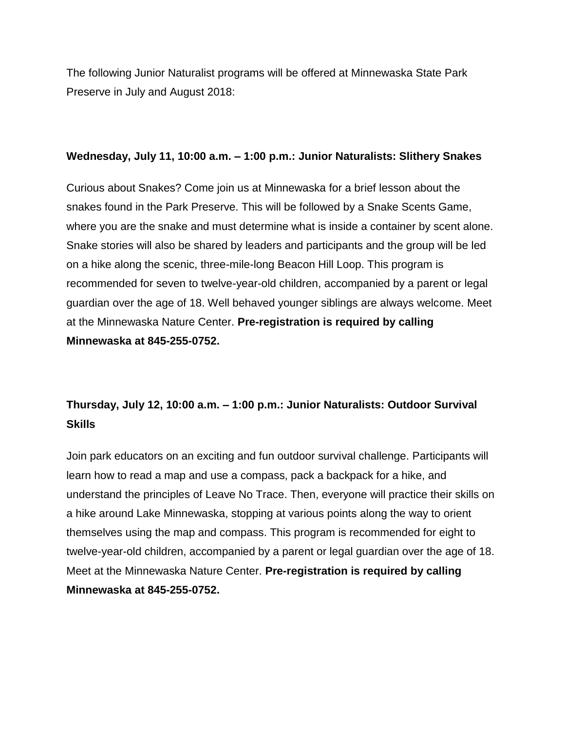The following Junior Naturalist programs will be offered at Minnewaska State Park Preserve in July and August 2018:

#### **Wednesday, July 11, 10:00 a.m. – 1:00 p.m.: Junior Naturalists: Slithery Snakes**

Curious about Snakes? Come join us at Minnewaska for a brief lesson about the snakes found in the Park Preserve. This will be followed by a Snake Scents Game, where you are the snake and must determine what is inside a container by scent alone. Snake stories will also be shared by leaders and participants and the group will be led on a hike along the scenic, three-mile-long Beacon Hill Loop. This program is recommended for seven to twelve-year-old children, accompanied by a parent or legal guardian over the age of 18. Well behaved younger siblings are always welcome. Meet at the Minnewaska Nature Center. **Pre-registration is required by calling Minnewaska at 845-255-0752.**

## **Thursday, July 12, 10:00 a.m. – 1:00 p.m.: Junior Naturalists: Outdoor Survival Skills**

Join park educators on an exciting and fun outdoor survival challenge. Participants will learn how to read a map and use a compass, pack a backpack for a hike, and understand the principles of Leave No Trace. Then, everyone will practice their skills on a hike around Lake Minnewaska, stopping at various points along the way to orient themselves using the map and compass. This program is recommended for eight to twelve-year-old children, accompanied by a parent or legal guardian over the age of 18. Meet at the Minnewaska Nature Center. **Pre-registration is required by calling Minnewaska at 845-255-0752.**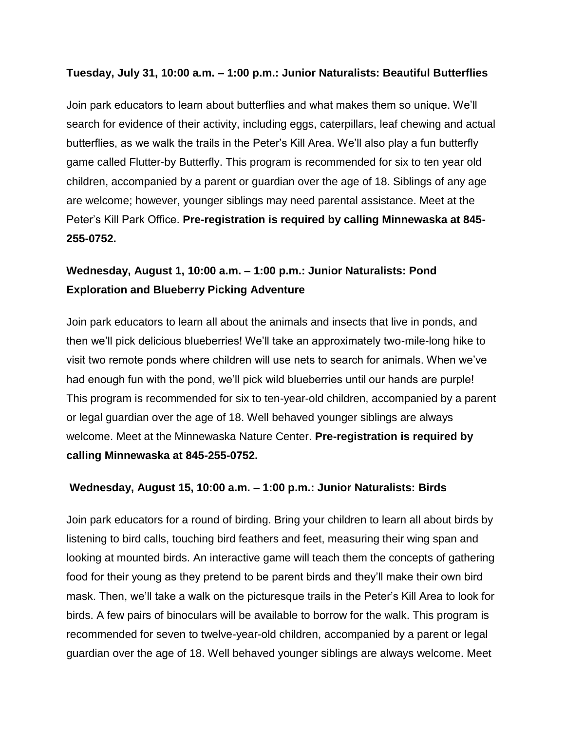#### **Tuesday, July 31, 10:00 a.m. – 1:00 p.m.: Junior Naturalists: Beautiful Butterflies**

Join park educators to learn about butterflies and what makes them so unique. We'll search for evidence of their activity, including eggs, caterpillars, leaf chewing and actual butterflies, as we walk the trails in the Peter's Kill Area. We'll also play a fun butterfly game called Flutter-by Butterfly. This program is recommended for six to ten year old children, accompanied by a parent or guardian over the age of 18. Siblings of any age are welcome; however, younger siblings may need parental assistance. Meet at the Peter's Kill Park Office. **Pre-registration is required by calling Minnewaska at 845- 255-0752.** 

## **Wednesday, August 1, 10:00 a.m. – 1:00 p.m.: Junior Naturalists: Pond Exploration and Blueberry Picking Adventure**

Join park educators to learn all about the animals and insects that live in ponds, and then we'll pick delicious blueberries! We'll take an approximately two-mile-long hike to visit two remote ponds where children will use nets to search for animals. When we've had enough fun with the pond, we'll pick wild blueberries until our hands are purple! This program is recommended for six to ten-year-old children, accompanied by a parent or legal guardian over the age of 18. Well behaved younger siblings are always welcome. Meet at the Minnewaska Nature Center. **Pre-registration is required by calling Minnewaska at 845-255-0752.**

#### **Wednesday, August 15, 10:00 a.m. – 1:00 p.m.: Junior Naturalists: Birds**

Join park educators for a round of birding. Bring your children to learn all about birds by listening to bird calls, touching bird feathers and feet, measuring their wing span and looking at mounted birds. An interactive game will teach them the concepts of gathering food for their young as they pretend to be parent birds and they'll make their own bird mask. Then, we'll take a walk on the picturesque trails in the Peter's Kill Area to look for birds. A few pairs of binoculars will be available to borrow for the walk. This program is recommended for seven to twelve-year-old children, accompanied by a parent or legal guardian over the age of 18. Well behaved younger siblings are always welcome. Meet